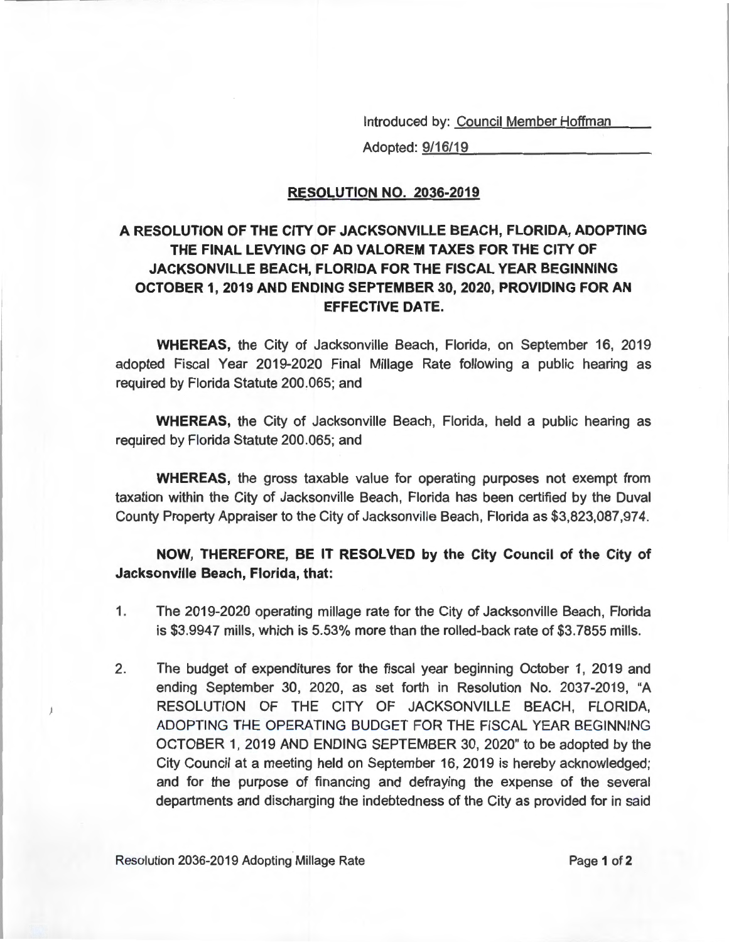Introduced by: Council Member Hoffman

Adopted: 9/16/19

## **RESOLUTION NO. 2036-2019**

## **A RESOLUTION OF THE CITY OF JACKSONVILLE BEACH, FLORIDA, ADOPTING THE FINAL LEVYING OF AD VALOREM TAXES FOR THE CITY OF JACKSONVILLE BEACH, FLORIDA FOR THE FISCAL YEAR BEGINNING OCTOBER 1, 2019 AND ENDING SEPTEMBER 30, 2020, PROVIDING FOR AN EFFECTIVE DATE.**

**WHEREAS,** the City of Jacksonville Beach, Florida, on September 16, 2019 adopted Fiscal Year 2019-2020 Final Millage Rate following a public hearing as required by Florida Statute 200.065; and

**WHEREAS,** the City of Jacksonville Beach, Florida, held a public hearing as required by Florida Statute 200.065; and

**WHEREAS,** the gross taxable value for operating purposes not exempt from taxation within the City of Jacksonville Beach, Florida has been certified by the Duval County Property Appraiser to the City of Jacksonville Beach, Florida as \$3,823,087,974.

**NOW, THEREFORE, BE IT RESOLVED by the City Council of the City of Jacksonville Beach, Florida, that:** 

- 1. The 2019-2020 operating millage rate for the City of Jacksonville Beach, Florida is \$3.9947 mills, which is 5.53% more than the rolled-back rate of \$3.7855 mills.
- 2. The budget of expenditures for the fiscal year beginning October 1, 2019 and ending September 30, 2020, as set forth in Resolution No. 2037-2019, "A RESOLUTION OF THE CITY OF JACKSONVILLE BEACH, FLORIDA, ADOPTING THE OPERATING BUDGET FOR THE FISCAL YEAR BEGINNING OCTOBER 1, 2019 AND ENDING SEPTEMBER 30, 2020" to be adopted by the City Council at a meeting held on September 16, 2019 is hereby acknowledged; and for the purpose of financing and defraying the expense of the several departments and discharging the indebtedness of the City as provided for in said